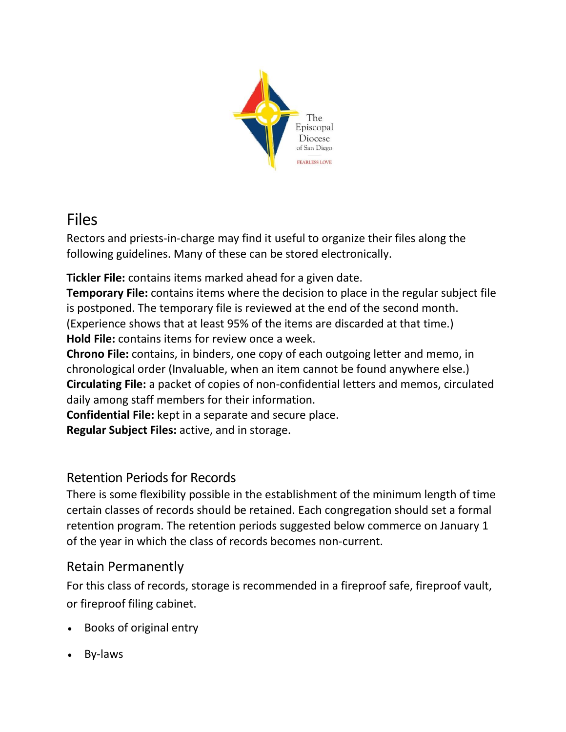

# Files

Rectors and priests-in-charge may find it useful to organize their files along the following guidelines. Many of these can be stored electronically.

**Tickler File:** contains items marked ahead for a given date.

**Temporary File:** contains items where the decision to place in the regular subject file is postponed. The temporary file is reviewed at the end of the second month. (Experience shows that at least 95% of the items are discarded at that time.) **Hold File:** contains items for review once a week.

**Chrono File:** contains, in binders, one copy of each outgoing letter and memo, in chronological order (Invaluable, when an item cannot be found anywhere else.) **Circulating File:** a packet of copies of non-confidential letters and memos, circulated daily among staff members for their information.

**Confidential File:** kept in a separate and secure place.

**Regular Subject Files:** active, and in storage.

## Retention Periods for Records

There is some flexibility possible in the establishment of the minimum length of time certain classes of records should be retained. Each congregation should set a formal retention program. The retention periods suggested below commerce on January 1 of the year in which the class of records becomes non-current.

## Retain Permanently

For this class of records, storage is recommended in a fireproof safe, fireproof vault, or fireproof filing cabinet.

- Books of original entry
- By-laws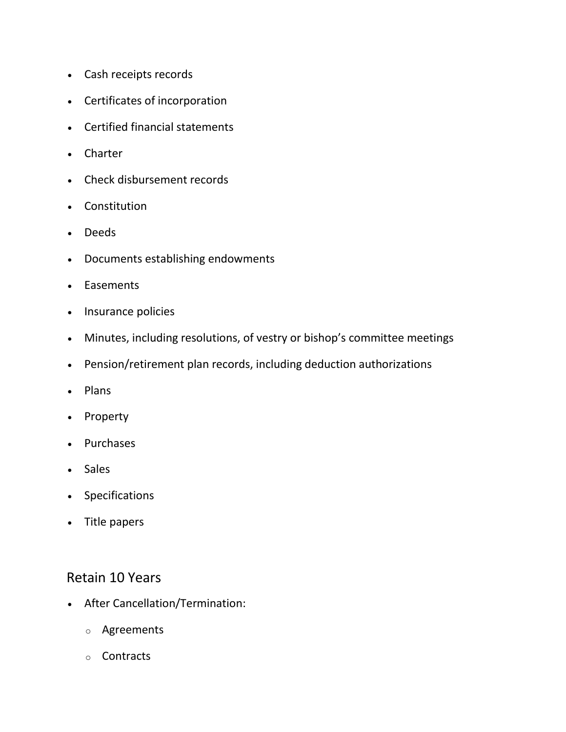- Cash receipts records
- Certificates of incorporation
- Certified financial statements
- Charter
- Check disbursement records
- Constitution
- Deeds
- Documents establishing endowments
- Easements
- Insurance policies
- Minutes, including resolutions, of vestry or bishop's committee meetings
- Pension/retirement plan records, including deduction authorizations
- Plans
- Property
- Purchases
- Sales
- Specifications
- Title papers

#### Retain 10 Years

- After Cancellation/Termination:
	- o Agreements
	- o Contracts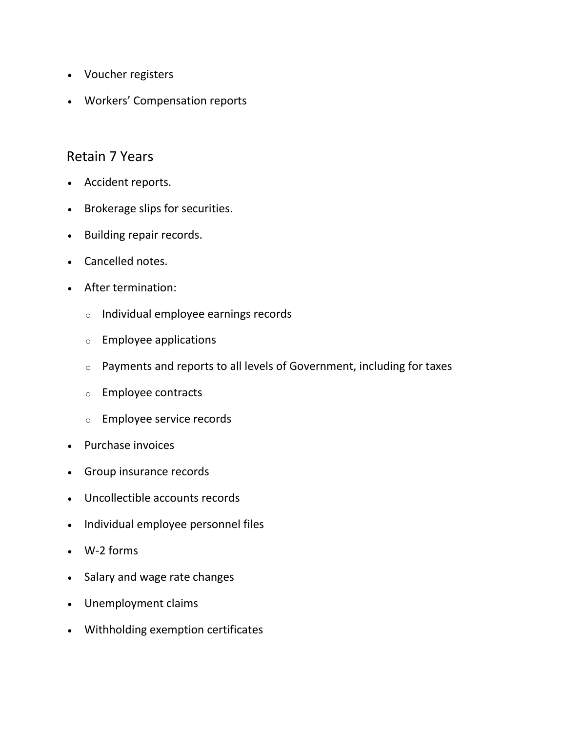- Voucher registers
- Workers' Compensation reports

#### Retain 7 Years

- Accident reports.
- Brokerage slips for securities.
- Building repair records.
- Cancelled notes.
- After termination:
	- o Individual employee earnings records
	- o Employee applications
	- o Payments and reports to all levels of Government, including for taxes
	- o Employee contracts
	- o Employee service records
- Purchase invoices
- Group insurance records
- Uncollectible accounts records
- Individual employee personnel files
- W-2 forms
- Salary and wage rate changes
- Unemployment claims
- Withholding exemption certificates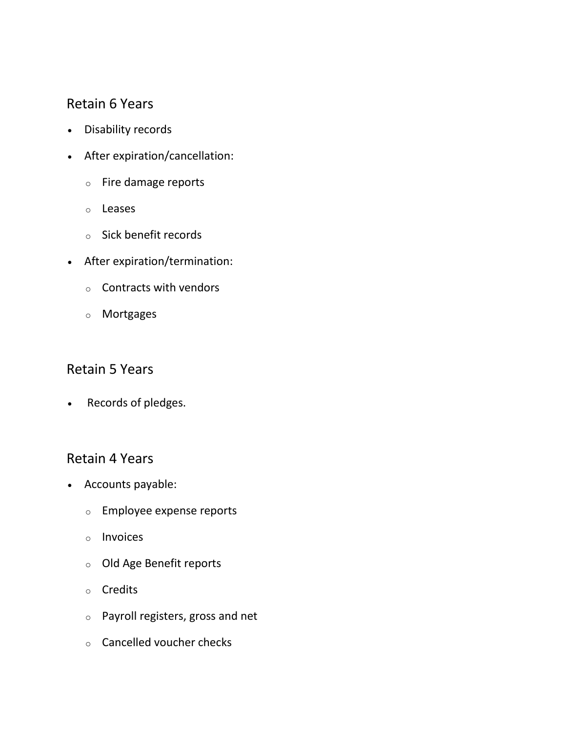## Retain 6 Years

- Disability records
- After expiration/cancellation:
	- o Fire damage reports
	- o Leases
	- o Sick benefit records
- After expiration/termination:
	- $\circ$  Contracts with vendors
	- o Mortgages

#### Retain 5 Years

Records of pledges.

#### Retain 4 Years

- Accounts payable:
	- o Employee expense reports
	- o Invoices
	- o Old Age Benefit reports
	- o Credits
	- o Payroll registers, gross and net
	- o Cancelled voucher checks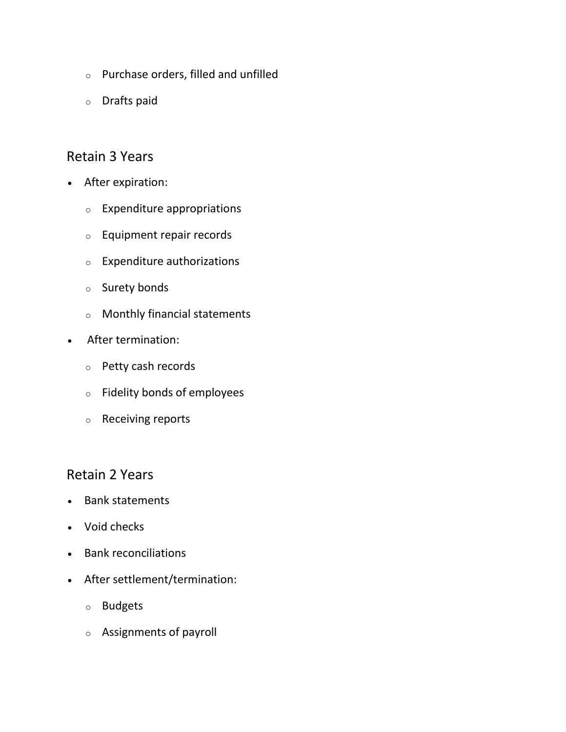- o Purchase orders, filled and unfilled
- o Drafts paid

### Retain 3 Years

- After expiration:
	- o Expenditure appropriations
	- o Equipment repair records
	- o Expenditure authorizations
	- o Surety bonds
	- o Monthly financial statements
- After termination:
	- o Petty cash records
	- o Fidelity bonds of employees
	- o Receiving reports

## Retain 2 Years

- Bank statements
- Void checks
- Bank reconciliations
- After settlement/termination:
	- o Budgets
	- o Assignments of payroll